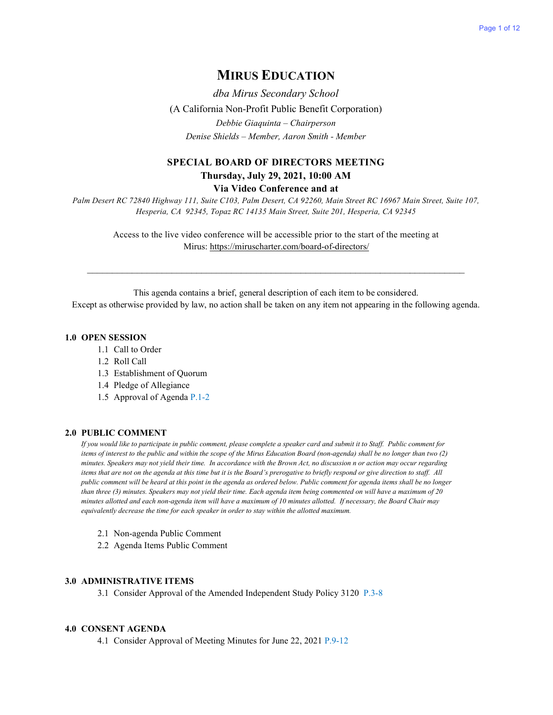## **MIRUS EDUCATION**

*dba Mirus Secondary School*  (A California Non-Profit Public Benefit Corporation) *Debbie Giaquinta – Chairperson Denise Shields – Member, Aaron Smith - Member*

### **SPECIAL BOARD OF DIRECTORS MEETING Thursday, July 29, 2021, 10:00 AM**

**Via Video Conference and at**

*Palm Desert RC 72840 Highway 111, Suite C103, Palm Desert, CA 92260, Main Street RC 16967 Main Street, Suite 107, Hesperia, CA 92345, Topaz RC 14135 Main Street, Suite 201, Hesperia, CA 92345*

Access to the live video conference will be accessible prior to the start of the meeting at Mirus:<https://miruscharter.com/board-of-directors/>

 $\mathcal{L}_\text{max}$  , and the contribution of the contribution of the contribution of the contribution of the contribution of the contribution of the contribution of the contribution of the contribution of the contribution of t

This agenda contains a brief, general description of each item to be considered. Except as otherwise provided by law, no action shall be taken on any item not appearing in the following agenda.

### **1.0 OPEN SESSION**

- 1.1 Call to Order
- 1.2 Roll Call
- 1.3 Establishment of Quorum
- 1.4 Pledge of Allegiance
- 1.5 Approval of Agenda P.1-2

#### **2.0 PUBLIC COMMENT**

*If you would like to participate in public comment, please complete a speaker card and submit it to Staff. Public comment for items of interest to the public and within the scope of the Mirus Education Board (non-agenda) shall be no longer than two (2) minutes. Speakers may not yield their time. In accordance with the Brown Act, no discussion n or action may occur regarding items that are not on the agenda at this time but it is the Board's prerogative to briefly respond or give direction to staff. All public comment will be heard at this point in the agenda as ordered below. Public comment for agenda items shall be no longer than three (3) minutes. Speakers may not yield their time. Each agenda item being commented on will have a maximum of 20 minutes allotted and each non-agenda item will have a maximum of 10 minutes allotted. If necessary, the Board Chair may equivalently decrease the time for each speaker in order to stay within the allotted maximum.*

- 2.1 Non-agenda Public Comment
- 2.2 Agenda Items Public Comment

#### **3.0 ADMINISTRATIVE ITEMS**

3.1 Consider Approval of the Amended Independent Study Policy 3120 P.3-8

#### **4.0 CONSENT AGENDA**

4.1 Consider Approval of Meeting Minutes for June 22, 2021 P.9-12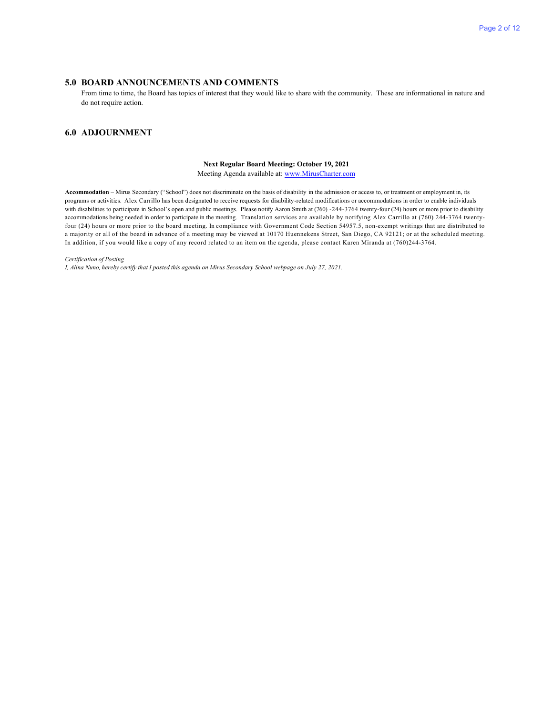#### **5.0 BOARD ANNOUNCEMENTS AND COMMENTS**

From time to time, the Board has topics of interest that they would like to share with the community. These are informational in nature and do not require action.

#### **6.0 ADJOURNMENT**

#### **Next Regular Board Meeting: October 19, 2021**

Meeting Agenda available at[: www.MirusCharter.com](http://www.miruscharter.com/)

**Accommodation** – Mirus Secondary ("School") does not discriminate on the basis of disability in the admission or access to, or treatment or employment in, its programs or activities. Alex Carrillo has been designated to receive requests for disability-related modifications or accommodations in order to enable individuals with disabilities to participate in School's open and public meetings. Please notify Aaron Smith at (760) -244-3764 twenty-four (24) hours or more prior to disability accommodations being needed in order to participate in the meeting. Translation services are available by notifying Alex Carrillo at (760) 244-3764 twentyfour (24) hours or more prior to the board meeting. In compliance with Government Code Section 54957.5, non-exempt writings that are distributed to a majority or all of the board in advance of a meeting may be viewed at 10170 Huennekens Street, San Diego, CA 92121; or at the scheduled meeting. In addition, if you would like a copy of any record related to an item on the agenda, please contact Karen Miranda at (760)244-3764.

#### *Certification of Posting*

*I, Alina Nuno, hereby certify that I posted this agenda on Mirus Secondary School webpage on July 27, 2021.*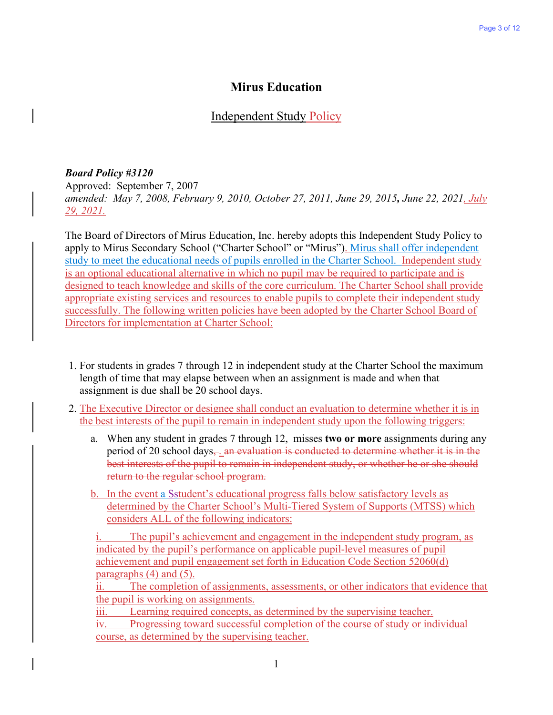## **Mirus Education**

## Independent Study Policy

### *Board Policy #3120*

Approved: September 7, 2007 *amended: May 7, 2008, February 9, 2010, October 27, 2011, June 29, 2015, June 22, 2021, July 29, 2021.* 

The Board of Directors of Mirus Education, Inc. hereby adopts this Independent Study Policy to apply to Mirus Secondary School ("Charter School" or "Mirus"). Mirus shall offer independent study to meet the educational needs of pupils enrolled in the Charter School. Independent study is an optional educational alternative in which no pupil may be required to participate and is designed to teach knowledge and skills of the core curriculum. The Charter School shall provide appropriate existing services and resources to enable pupils to complete their independent study successfully. The following written policies have been adopted by the Charter School Board of Directors for implementation at Charter School:

- 1. For students in grades 7 through 12 in independent study at the Charter School the maximum length of time that may elapse between when an assignment is made and when that assignment is due shall be 20 school days.
- 2. The Executive Director or designee shall conduct an evaluation to determine whether it is in the best interests of the pupil to remain in independent study upon the following triggers:
	- a. When any student in grades 7 through 12, misses **two or more** assignments during any period of 20 school days $\frac{1}{2}$  an evaluation is conducted to determine whether it is in the best interests of the pupil to remain in independent study, or whether he or she should return to the regular school program.
	- b. In the event a Sstudent's educational progress falls below satisfactory levels as determined by the Charter School's Multi-Tiered System of Supports (MTSS) which considers ALL of the following indicators:

i. The pupil's achievement and engagement in the independent study program, as indicated by the pupil's performance on applicable pupil-level measures of pupil achievement and pupil engagement set forth in Education Code Section 52060(d) paragraphs (4) and (5).

ii. The completion of assignments, assessments, or other indicators that evidence that the pupil is working on assignments.

iii. Learning required concepts, as determined by the supervising teacher.

iv. Progressing toward successful completion of the course of study or individual course, as determined by the supervising teacher.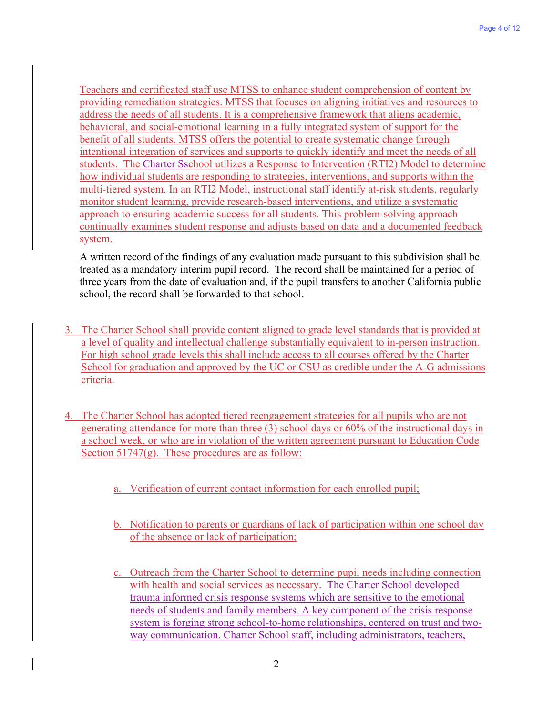Teachers and certificated staff use MTSS to enhance student comprehension of content by providing remediation strategies. MTSS that focuses on aligning initiatives and resources to address the needs of all students. It is a comprehensive framework that aligns academic, behavioral, and social-emotional learning in a fully integrated system of support for the benefit of all students. MTSS offers the potential to create systematic change through intentional integration of services and supports to quickly identify and meet the needs of all students. The Charter Sschool utilizes a Response to Intervention (RTI2) Model to determine how individual students are responding to strategies, interventions, and supports within the multi-tiered system. In an RTI2 Model, instructional staff identify at-risk students, regularly monitor student learning, provide research-based interventions, and utilize a systematic approach to ensuring academic success for all students. This problem-solving approach continually examines student response and adjusts based on data and a documented feedback system.

A written record of the findings of any evaluation made pursuant to this subdivision shall be treated as a mandatory interim pupil record. The record shall be maintained for a period of three years from the date of evaluation and, if the pupil transfers to another California public school, the record shall be forwarded to that school.

- 3. The Charter School shall provide content aligned to grade level standards that is provided at a level of quality and intellectual challenge substantially equivalent to in-person instruction. For high school grade levels this shall include access to all courses offered by the Charter School for graduation and approved by the UC or CSU as credible under the A-G admissions criteria.
- 4. The Charter School has adopted tiered reengagement strategies for all pupils who are not generating attendance for more than three (3) school days or 60% of the instructional days in a school week, or who are in violation of the written agreement pursuant to Education Code Section  $51747(g)$ . These procedures are as follow:
	- a. Verification of current contact information for each enrolled pupil;
	- b. Notification to parents or guardians of lack of participation within one school day of the absence or lack of participation;
	- c. Outreach from the Charter School to determine pupil needs including connection with health and social services as necessary. The Charter School developed trauma informed crisis response systems which are sensitive to the emotional needs of students and family members. A key component of the crisis response system is forging strong school-to-home relationships, centered on trust and twoway communication. Charter School staff, including administrators, teachers,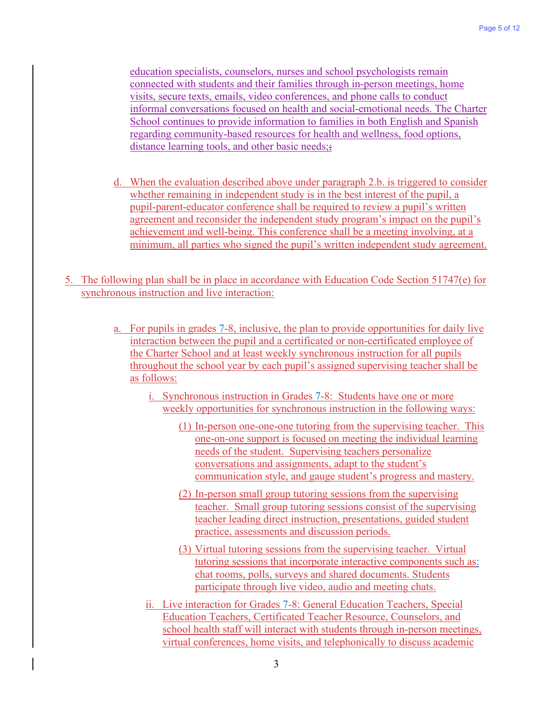education specialists, counselors, nurses and school psychologists remain connected with students and their families through in-person meetings, home visits, secure texts, emails, video conferences, and phone calls to conduct informal conversations focused on health and social-emotional needs. The Charter School continues to provide information to families in both English and Spanish regarding community-based resources for health and wellness, food options, distance learning tools, and other basic needs;

- d. When the evaluation described above under paragraph 2.b. is triggered to consider whether remaining in independent study is in the best interest of the pupil, a pupil-parent-educator conference shall be required to review a pupil's written agreement and reconsider the independent study program's impact on the pupil's achievement and well-being. This conference shall be a meeting involving, at a minimum, all parties who signed the pupil's written independent study agreement.
- 5. The following plan shall be in place in accordance with Education Code Section 51747(e) for synchronous instruction and live interaction:
	- a. For pupils in grades 7-8, inclusive, the plan to provide opportunities for daily live interaction between the pupil and a certificated or non-certificated employee of the Charter School and at least weekly synchronous instruction for all pupils throughout the school year by each pupil's assigned supervising teacher shall be as follows:
		- i. Synchronous instruction in Grades 7-8: Students have one or more weekly opportunities for synchronous instruction in the following ways:
			- (1) In-person one-one-one tutoring from the supervising teacher. This one-on-one support is focused on meeting the individual learning needs of the student. Supervising teachers personalize conversations and assignments, adapt to the student's communication style, and gauge student's progress and mastery.
			- (2) In-person small group tutoring sessions from the supervising teacher. Small group tutoring sessions consist of the supervising teacher leading direct instruction, presentations, guided student practice, assessments and discussion periods.
			- (3) Virtual tutoring sessions from the supervising teacher. Virtual tutoring sessions that incorporate interactive components such as: chat rooms, polls, surveys and shared documents. Students participate through live video, audio and meeting chats.
		- ii. Live interaction for Grades 7-8: General Education Teachers, Special Education Teachers, Certificated Teacher Resource, Counselors, and school health staff will interact with students through in-person meetings, virtual conferences, home visits, and telephonically to discuss academic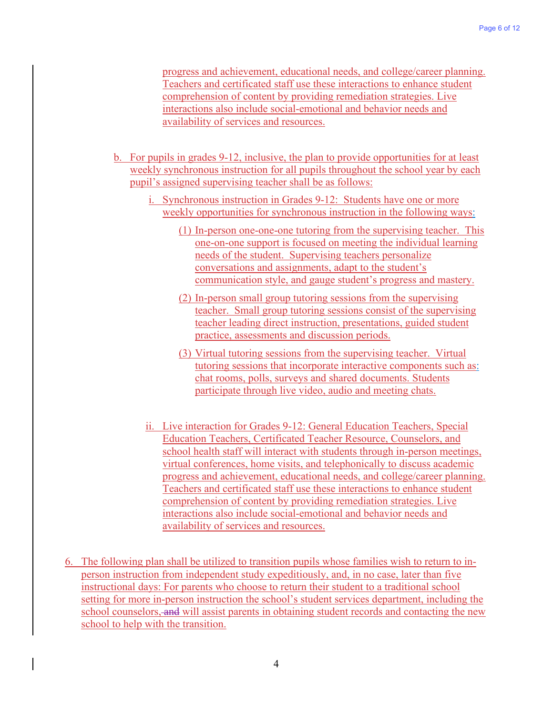progress and achievement, educational needs, and college/career planning. Teachers and certificated staff use these interactions to enhance student comprehension of content by providing remediation strategies. Live interactions also include social-emotional and behavior needs and availability of services and resources.

- b. For pupils in grades 9-12, inclusive, the plan to provide opportunities for at least weekly synchronous instruction for all pupils throughout the school year by each pupil's assigned supervising teacher shall be as follows:
	- i. Synchronous instruction in Grades 9-12: Students have one or more weekly opportunities for synchronous instruction in the following ways:
		- (1) In-person one-one-one tutoring from the supervising teacher. This one-on-one support is focused on meeting the individual learning needs of the student. Supervising teachers personalize conversations and assignments, adapt to the student's communication style, and gauge student's progress and mastery.
		- (2) In-person small group tutoring sessions from the supervising teacher. Small group tutoring sessions consist of the supervising teacher leading direct instruction, presentations, guided student practice, assessments and discussion periods.
		- (3) Virtual tutoring sessions from the supervising teacher. Virtual tutoring sessions that incorporate interactive components such as: chat rooms, polls, surveys and shared documents. Students participate through live video, audio and meeting chats.
	- ii. Live interaction for Grades 9-12: General Education Teachers, Special Education Teachers, Certificated Teacher Resource, Counselors, and school health staff will interact with students through in-person meetings, virtual conferences, home visits, and telephonically to discuss academic progress and achievement, educational needs, and college/career planning. Teachers and certificated staff use these interactions to enhance student comprehension of content by providing remediation strategies. Live interactions also include social-emotional and behavior needs and availability of services and resources.
- 6. The following plan shall be utilized to transition pupils whose families wish to return to inperson instruction from independent study expeditiously, and, in no case, later than five instructional days: For parents who choose to return their student to a traditional school setting for more in-person instruction the school's student services department, including the school counselors, and will assist parents in obtaining student records and contacting the new school to help with the transition.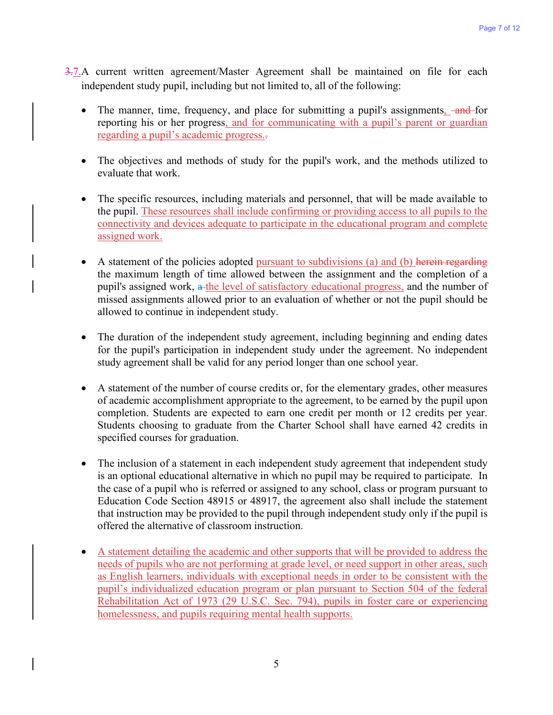- 3.7.A current written agreement/Master Agreement shall be maintained on file for each independent study pupil, including but not limited to, all of the following:
	- The manner, time, frequency, and place for submitting a pupil's assignments, and for reporting his or her progress, and for communicating with a pupil's parent or guardian regarding a pupil's academic progress..
	- The objectives and methods of study for the pupil's work, and the methods utilized to evaluate that work.
	- The specific resources, including materials and personnel, that will be made available to the pupil. These resources shall include confirming or providing access to all pupils to the connectivity and devices adequate to participate in the educational program and complete assigned work.
	- A statement of the policies adopted pursuant to subdivisions (a) and (b) herein regarding the maximum length of time allowed between the assignment and the completion of a pupil's assigned work, a the level of satisfactory educational progress, and the number of missed assignments allowed prior to an evaluation of whether or not the pupil should be allowed to continue in independent study.
	- The duration of the independent study agreement, including beginning and ending dates for the pupil's participation in independent study under the agreement. No independent study agreement shall be valid for any period longer than one school year.
	- A statement of the number of course credits or, for the elementary grades, other measures of academic accomplishment appropriate to the agreement, to be earned by the pupil upon completion. Students are expected to earn one credit per month or 12 credits per year. Students choosing to graduate from the Charter School shall have earned 42 credits in specified courses for graduation.
	- The inclusion of a statement in each independent study agreement that independent study is an optional educational alternative in which no pupil may be required to participate. In the case of a pupil who is referred or assigned to any school, class or program pursuant to Education Code Section 48915 or 48917, the agreement also shall include the statement that instruction may be provided to the pupil through independent study only if the pupil is offered the alternative of classroom instruction.
	- A statement detailing the academic and other supports that will be provided to address the needs of pupils who are not performing at grade level, or need support in other areas, such as English learners, individuals with exceptional needs in order to be consistent with the pupil's individualized education program or plan pursuant to Section 504 of the federal Rehabilitation Act of 1973 (29 U.S.C. Sec. 794), pupils in foster care or experiencing homelessness, and pupils requiring mental health supports.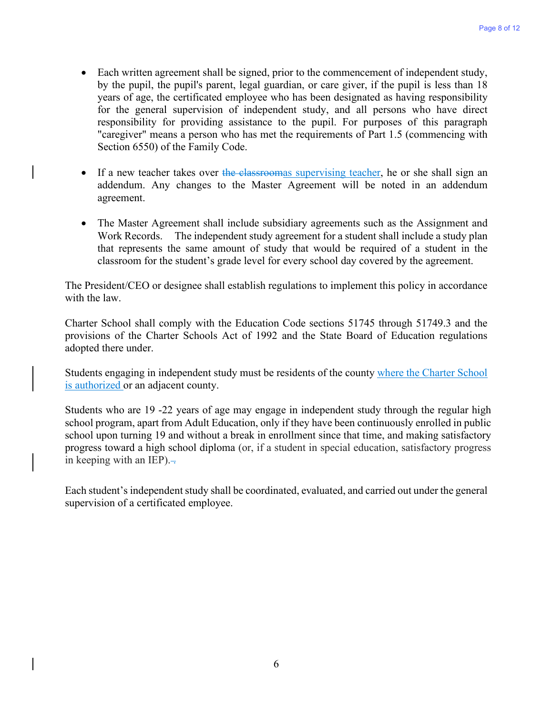- Each written agreement shall be signed, prior to the commencement of independent study, by the pupil, the pupil's parent, legal guardian, or care giver, if the pupil is less than 18 years of age, the certificated employee who has been designated as having responsibility for the general supervision of independent study, and all persons who have direct responsibility for providing assistance to the pupil. For purposes of this paragraph "caregiver" means a person who has met the requirements of Part 1.5 (commencing with Section 6550) of the Family Code.
- If a new teacher takes over the classroomas supervising teacher, he or she shall sign an addendum. Any changes to the Master Agreement will be noted in an addendum agreement.
- The Master Agreement shall include subsidiary agreements such as the Assignment and Work Records. The independent study agreement for a student shall include a study plan that represents the same amount of study that would be required of a student in the classroom for the student's grade level for every school day covered by the agreement.

The President/CEO or designee shall establish regulations to implement this policy in accordance with the law.

Charter School shall comply with the Education Code sections 51745 through 51749.3 and the provisions of the Charter Schools Act of 1992 and the State Board of Education regulations adopted there under.

Students engaging in independent study must be residents of the county where the Charter School is authorized or an adjacent county.

Students who are 19 -22 years of age may engage in independent study through the regular high school program, apart from Adult Education, only if they have been continuously enrolled in public school upon turning 19 and without a break in enrollment since that time, and making satisfactory progress toward a high school diploma (or, if a student in special education, satisfactory progress in keeping with an IEP). $\overline{\phantom{a}}$ .

Each student's independent study shall be coordinated, evaluated, and carried out under the general supervision of a certificated employee.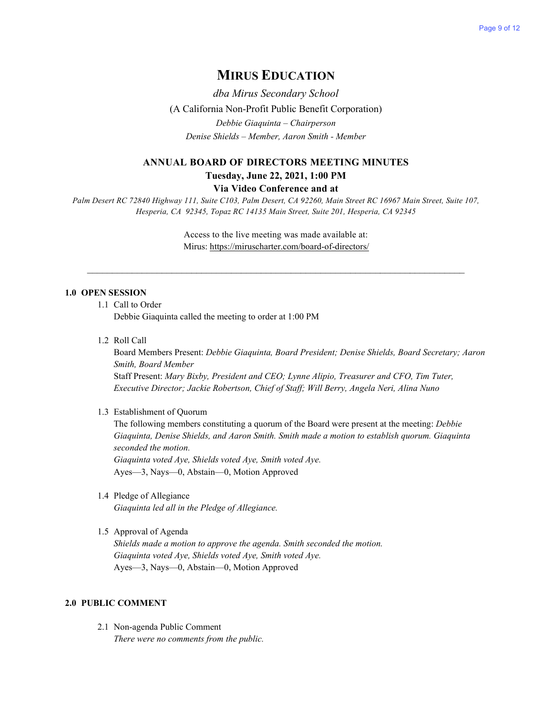# **MIRUS EDUCATION**

*dba Mirus Secondary School*  (A California Non-Profit Public Benefit Corporation) *Debbie Giaquinta – Chairperson Denise Shields – Member, Aaron Smith - Member*

### **ANNUAL BOARD OF DIRECTORS MEETING MINUTES Tuesday, June 22, 2021, 1:00 PM**

#### **Via Video Conference and at**

*Palm Desert RC 72840 Highway 111, Suite C103, Palm Desert, CA 92260, Main Street RC 16967 Main Street, Suite 107, Hesperia, CA 92345, Topaz RC 14135 Main Street, Suite 201, Hesperia, CA 92345*

> Access to the live meeting was made available at: Mirus:<https://miruscharter.com/board-of-directors/>

 $\mathcal{L}_\text{max}$  , and the contribution of the contribution of the contribution of the contribution of the contribution of the contribution of the contribution of the contribution of the contribution of the contribution of t

#### **1.0 OPEN SESSION**

1.1 Call to Order

Debbie Giaquinta called the meeting to order at 1:00 PM

1.2 Roll Call

Board Members Present: *Debbie Giaquinta, Board President; Denise Shields, Board Secretary; Aaron Smith, Board Member* Staff Present: *Mary Bixby, President and CEO; Lynne Alipio, Treasurer and CFO, Tim Tuter, Executive Director; Jackie Robertson, Chief of Staff; Will Berry, Angela Neri, Alina Nuno*

#### 1.3 Establishment of Quorum

The following members constituting a quorum of the Board were present at the meeting: *Debbie Giaquinta, Denise Shields, and Aaron Smith. Smith made a motion to establish quorum. Giaquinta seconded the motion. Giaquinta voted Aye, Shields voted Aye, Smith voted Aye.* Ayes—3, Nays—0, Abstain—0, Motion Approved

1.4 Pledge of Allegiance

*Giaquinta led all in the Pledge of Allegiance.*

#### 1.5 Approval of Agenda

*Shields made a motion to approve the agenda. Smith seconded the motion. Giaquinta voted Aye, Shields voted Aye, Smith voted Aye.* Ayes—3, Nays—0, Abstain—0, Motion Approved

### **2.0 PUBLIC COMMENT**

2.1 Non-agenda Public Comment *There were no comments from the public.*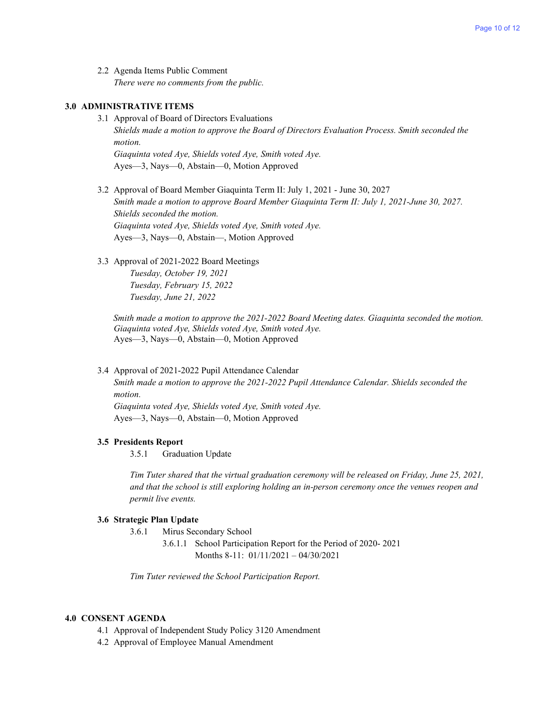2.2 Agenda Items Public Comment *There were no comments from the public.*

#### **3.0 ADMINISTRATIVE ITEMS**

- 3.1 Approval of Board of Directors Evaluations *Shields made a motion to approve the Board of Directors Evaluation Process. Smith seconded the motion. Giaquinta voted Aye, Shields voted Aye, Smith voted Aye.* Ayes—3, Nays—0, Abstain—0, Motion Approved
- 3.2 Approval of Board Member Giaquinta Term II: July 1, 2021 June 30, 2027 *Smith made a motion to approve Board Member Giaquinta Term II: July 1, 2021-June 30, 2027. Shields seconded the motion. Giaquinta voted Aye, Shields voted Aye, Smith voted Aye.* Ayes—3, Nays—0, Abstain—, Motion Approved
- 3.3 Approval of 2021-2022 Board Meetings

*Tuesday, October 19, 2021 Tuesday, February 15, 2022 Tuesday, June 21, 2022*

 *Smith made a motion to approve the 2021-2022 Board Meeting dates. Giaquinta seconded the motion. Giaquinta voted Aye, Shields voted Aye, Smith voted Aye.* Ayes—3, Nays—0, Abstain—0, Motion Approved

3.4 Approval of 2021-2022 Pupil Attendance Calendar

*Smith made a motion to approve the 2021-2022 Pupil Attendance Calendar. Shields seconded the motion.*

*Giaquinta voted Aye, Shields voted Aye, Smith voted Aye.* Ayes—3, Nays—0, Abstain—0, Motion Approved

#### **3.5 Presidents Report**

3.5.1 Graduation Update

*Tim Tuter shared that the virtual graduation ceremony will be released on Friday, June 25, 2021, and that the school is still exploring holding an in-person ceremony once the venues reopen and permit live events.*

#### **3.6 Strategic Plan Update**

- 3.6.1 Mirus Secondary School
	- 3.6.1.1 School Participation Report for the Period of 2020- 2021 Months 8-11: 01/11/2021 – 04/30/2021

*Tim Tuter reviewed the School Participation Report.*

#### **4.0 CONSENT AGENDA**

- 4.1 Approval of Independent Study Policy 3120 Amendment
- 4.2 Approval of Employee Manual Amendment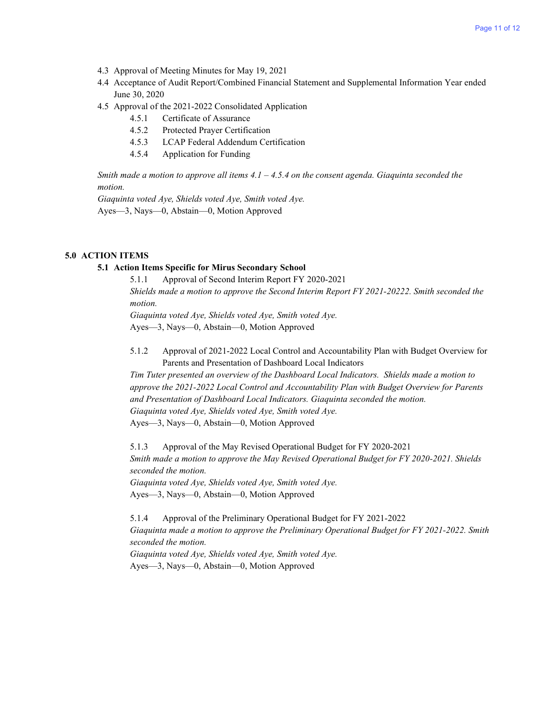- 4.3 Approval of Meeting Minutes for May 19, 2021
- 4.4 Acceptance of Audit Report/Combined Financial Statement and Supplemental Information Year ended June 30, 2020
- 4.5 Approval of the 2021-2022 Consolidated Application
	- 4.5.1 Certificate of Assurance
	- 4.5.2 Protected Prayer Certification
	- 4.5.3 LCAP Federal Addendum Certification
	- 4.5.4 Application for Funding

*Smith made a motion to approve all items 4.1 – 4.5.4 on the consent agenda. Giaquinta seconded the motion.*

*Giaquinta voted Aye, Shields voted Aye, Smith voted Aye.* Ayes—3, Nays—0, Abstain—0, Motion Approved

#### **5.0 ACTION ITEMS**

#### **5.1 Action Items Specific for Mirus Secondary School**

5.1.1 Approval of Second Interim Report FY 2020-2021 *Shields made a motion to approve the Second Interim Report FY 2021-20222. Smith seconded the motion. Giaquinta voted Aye, Shields voted Aye, Smith voted Aye.* Ayes—3, Nays—0, Abstain—0, Motion Approved

5.1.2 Approval of 2021-2022 Local Control and Accountability Plan with Budget Overview for Parents and Presentation of Dashboard Local Indicators

*Tim Tuter presented an overview of the Dashboard Local Indicators. Shields made a motion to approve the 2021-2022 Local Control and Accountability Plan with Budget Overview for Parents and Presentation of Dashboard Local Indicators. Giaquinta seconded the motion. Giaquinta voted Aye, Shields voted Aye, Smith voted Aye.* Ayes—3, Nays—0, Abstain—0, Motion Approved

5.1.3 Approval of the May Revised Operational Budget for FY 2020-2021 *Smith made a motion to approve the May Revised Operational Budget for FY 2020-2021. Shields seconded the motion. Giaquinta voted Aye, Shields voted Aye, Smith voted Aye.*

Ayes—3, Nays—0, Abstain—0, Motion Approved

5.1.4 Approval of the Preliminary Operational Budget for FY 2021-2022 *Giaquinta made a motion to approve the Preliminary Operational Budget for FY 2021-2022. Smith seconded the motion. Giaquinta voted Aye, Shields voted Aye, Smith voted Aye.*

Ayes—3, Nays—0, Abstain—0, Motion Approved